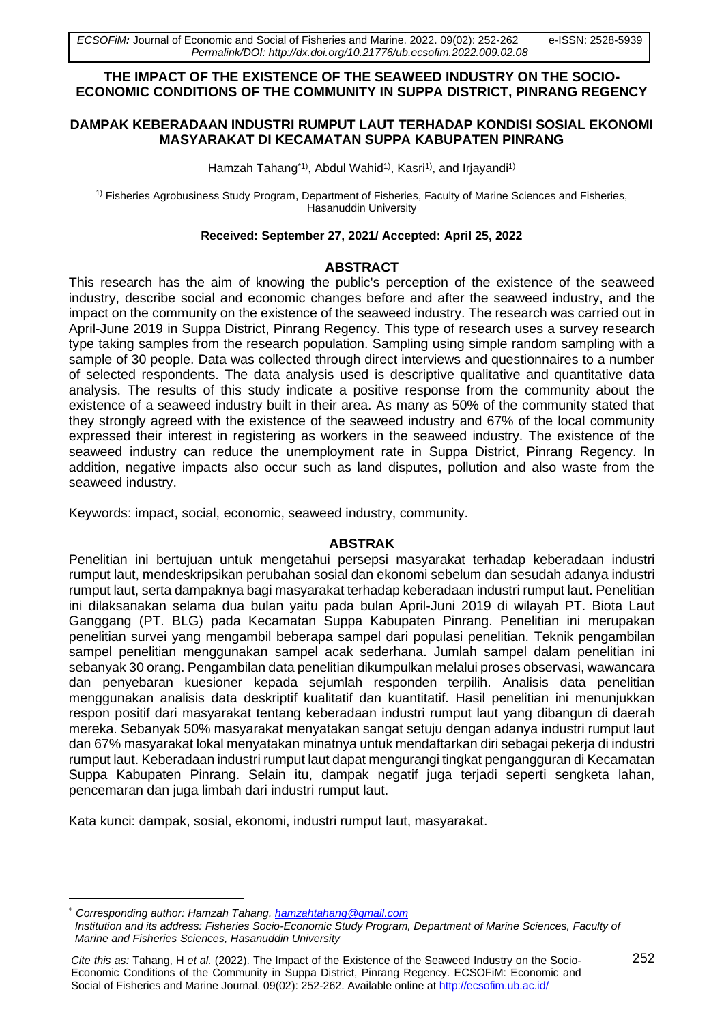### **THE IMPACT OF THE EXISTENCE OF THE SEAWEED INDUSTRY ON THE SOCIO-ECONOMIC CONDITIONS OF THE COMMUNITY IN SUPPA DISTRICT, PINRANG REGENCY**

### **DAMPAK KEBERADAAN INDUSTRI RUMPUT LAUT TERHADAP KONDISI SOSIAL EKONOMI MASYARAKAT DI KECAMATAN SUPPA KABUPATEN PINRANG**

Hamzah Tahang<sup>\*1)</sup>, Abdul Wahid<sup>1)</sup>, Kasri<sup>1)</sup>, and Irjayandi<sup>1)</sup>

1) Fisheries Agrobusiness Study Program, Department of Fisheries, Faculty of Marine Sciences and Fisheries, Hasanuddin University

#### **Received: September 27, 2021/ Accepted: April 25, 2022**

#### **ABSTRACT**

This research has the aim of knowing the public's perception of the existence of the seaweed industry, describe social and economic changes before and after the seaweed industry, and the impact on the community on the existence of the seaweed industry. The research was carried out in April-June 2019 in Suppa District, Pinrang Regency. This type of research uses a survey research type taking samples from the research population. Sampling using simple random sampling with a sample of 30 people. Data was collected through direct interviews and questionnaires to a number of selected respondents. The data analysis used is descriptive qualitative and quantitative data analysis. The results of this study indicate a positive response from the community about the existence of a seaweed industry built in their area. As many as 50% of the community stated that they strongly agreed with the existence of the seaweed industry and 67% of the local community expressed their interest in registering as workers in the seaweed industry. The existence of the seaweed industry can reduce the unemployment rate in Suppa District, Pinrang Regency. In addition, negative impacts also occur such as land disputes, pollution and also waste from the seaweed industry.

Keywords: impact, social, economic, seaweed industry, community.

### **ABSTRAK**

Penelitian ini bertujuan untuk mengetahui persepsi masyarakat terhadap keberadaan industri rumput laut, mendeskripsikan perubahan sosial dan ekonomi sebelum dan sesudah adanya industri rumput laut, serta dampaknya bagi masyarakat terhadap keberadaan industri rumput laut. Penelitian ini dilaksanakan selama dua bulan yaitu pada bulan April-Juni 2019 di wilayah PT. Biota Laut Ganggang (PT. BLG) pada Kecamatan Suppa Kabupaten Pinrang. Penelitian ini merupakan penelitian survei yang mengambil beberapa sampel dari populasi penelitian. Teknik pengambilan sampel penelitian menggunakan sampel acak sederhana. Jumlah sampel dalam penelitian ini sebanyak 30 orang. Pengambilan data penelitian dikumpulkan melalui proses observasi, wawancara dan penyebaran kuesioner kepada sejumlah responden terpilih. Analisis data penelitian menggunakan analisis data deskriptif kualitatif dan kuantitatif. Hasil penelitian ini menunjukkan respon positif dari masyarakat tentang keberadaan industri rumput laut yang dibangun di daerah mereka. Sebanyak 50% masyarakat menyatakan sangat setuju dengan adanya industri rumput laut dan 67% masyarakat lokal menyatakan minatnya untuk mendaftarkan diri sebagai pekerja di industri rumput laut. Keberadaan industri rumput laut dapat mengurangi tingkat pengangguran di Kecamatan Suppa Kabupaten Pinrang. Selain itu, dampak negatif juga terjadi seperti sengketa lahan, pencemaran dan juga limbah dari industri rumput laut.

Kata kunci: dampak, sosial, ekonomi, industri rumput laut, masyarakat.

\* *Corresponding author: Hamzah Tahang, [hamzahtahang@gmail.com](mailto:hamzahtahang@gmail.com)*

*Institution and its address: Fisheries Socio-Economic Study Program, Department of Marine Sciences, Faculty of Marine and Fisheries Sciences, Hasanuddin University*

*Cite this as:* Tahang, H *et al.* (2022). The Impact of the Existence of the Seaweed Industry on the Socio- 252 Economic Conditions of the Community in Suppa District, Pinrang Regency. ECSOFiM: Economic and Social of Fisheries and Marine Journal. 09(02): 252-262. Available online at <http://ecsofim.ub.ac.id/>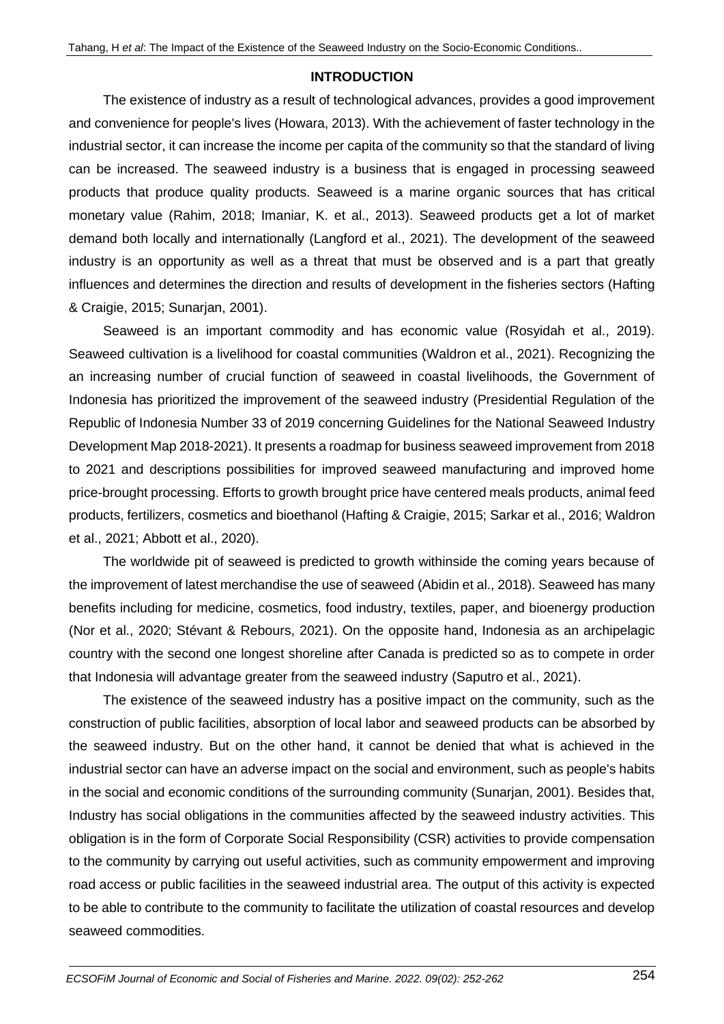#### **INTRODUCTION**

The existence of industry as a result of technological advances, provides a good improvement and convenience for people's lives (Howara, 2013). With the achievement of faster technology in the industrial sector, it can increase the income per capita of the community so that the standard of living can be increased. The seaweed industry is a business that is engaged in processing seaweed products that produce quality products. Seaweed is a marine organic sources that has critical monetary value (Rahim, 2018; Imaniar, K. et al., 2013). Seaweed products get a lot of market demand both locally and internationally (Langford et al., 2021). The development of the seaweed industry is an opportunity as well as a threat that must be observed and is a part that greatly influences and determines the direction and results of development in the fisheries sectors (Hafting & Craigie, 2015; Sunarjan, 2001).

Seaweed is an important commodity and has economic value (Rosyidah et al., 2019). Seaweed cultivation is a livelihood for coastal communities (Waldron et al., 2021). Recognizing the an increasing number of crucial function of seaweed in coastal livelihoods, the Government of Indonesia has prioritized the improvement of the seaweed industry (Presidential Regulation of the Republic of Indonesia Number 33 of 2019 concerning Guidelines for the National Seaweed Industry Development Map 2018-2021). It presents a roadmap for business seaweed improvement from 2018 to 2021 and descriptions possibilities for improved seaweed manufacturing and improved home price-brought processing. Efforts to growth brought price have centered meals products, animal feed products, fertilizers, cosmetics and bioethanol (Hafting & Craigie, 2015; Sarkar et al., 2016; Waldron et al., 2021; Abbott et al., 2020).

The worldwide pit of seaweed is predicted to growth withinside the coming years because of the improvement of latest merchandise the use of seaweed (Abidin et al., 2018). Seaweed has many benefits including for medicine, cosmetics, food industry, textiles, paper, and bioenergy production (Nor et al., 2020; Stévant & Rebours, 2021). On the opposite hand, Indonesia as an archipelagic country with the second one longest shoreline after Canada is predicted so as to compete in order that Indonesia will advantage greater from the seaweed industry (Saputro et al., 2021).

The existence of the seaweed industry has a positive impact on the community, such as the construction of public facilities, absorption of local labor and seaweed products can be absorbed by the seaweed industry. But on the other hand, it cannot be denied that what is achieved in the industrial sector can have an adverse impact on the social and environment, such as people's habits in the social and economic conditions of the surrounding community (Sunarjan, 2001). Besides that, Industry has social obligations in the communities affected by the seaweed industry activities. This obligation is in the form of Corporate Social Responsibility (CSR) activities to provide compensation to the community by carrying out useful activities, such as community empowerment and improving road access or public facilities in the seaweed industrial area. The output of this activity is expected to be able to contribute to the community to facilitate the utilization of coastal resources and develop seaweed commodities.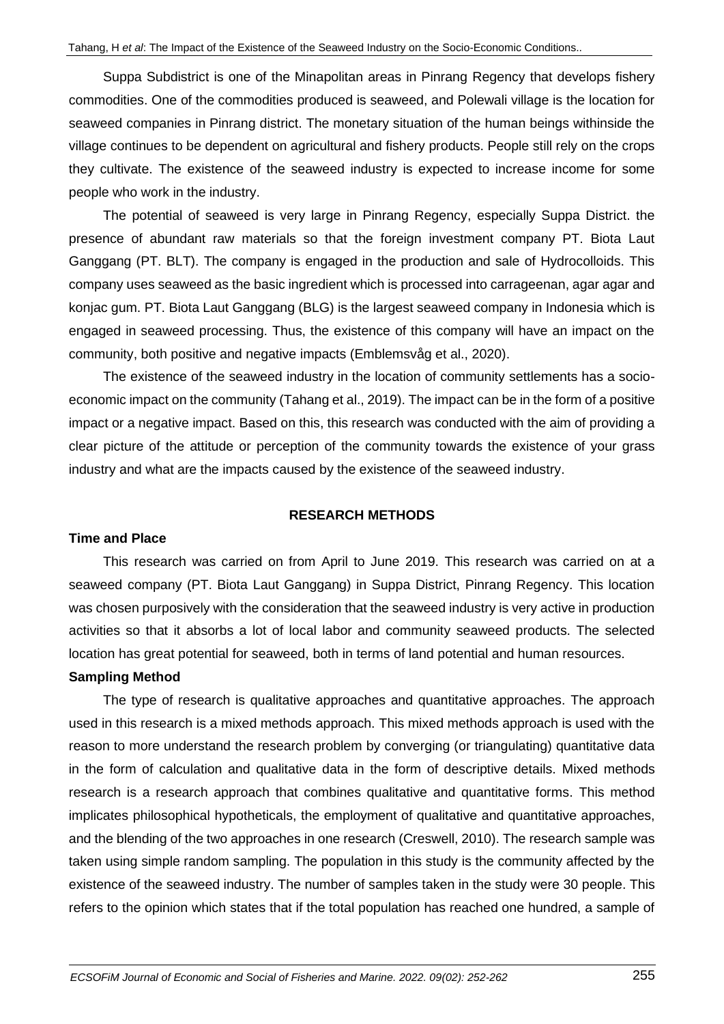Suppa Subdistrict is one of the Minapolitan areas in Pinrang Regency that develops fishery commodities. One of the commodities produced is seaweed, and Polewali village is the location for seaweed companies in Pinrang district. The monetary situation of the human beings withinside the village continues to be dependent on agricultural and fishery products. People still rely on the crops they cultivate. The existence of the seaweed industry is expected to increase income for some people who work in the industry.

The potential of seaweed is very large in Pinrang Regency, especially Suppa District. the presence of abundant raw materials so that the foreign investment company PT. Biota Laut Ganggang (PT. BLT). The company is engaged in the production and sale of Hydrocolloids. This company uses seaweed as the basic ingredient which is processed into carrageenan, agar agar and konjac gum. PT. Biota Laut Ganggang (BLG) is the largest seaweed company in Indonesia which is engaged in seaweed processing. Thus, the existence of this company will have an impact on the community, both positive and negative impacts (Emblemsvåg et al., 2020).

The existence of the seaweed industry in the location of community settlements has a socioeconomic impact on the community (Tahang et al., 2019). The impact can be in the form of a positive impact or a negative impact. Based on this, this research was conducted with the aim of providing a clear picture of the attitude or perception of the community towards the existence of your grass industry and what are the impacts caused by the existence of the seaweed industry.

# **RESEARCH METHODS**

### **Time and Place**

This research was carried on from April to June 2019. This research was carried on at a seaweed company (PT. Biota Laut Ganggang) in Suppa District, Pinrang Regency. This location was chosen purposively with the consideration that the seaweed industry is very active in production activities so that it absorbs a lot of local labor and community seaweed products. The selected location has great potential for seaweed, both in terms of land potential and human resources.

### **Sampling Method**

The type of research is qualitative approaches and quantitative approaches. The approach used in this research is a mixed methods approach. This mixed methods approach is used with the reason to more understand the research problem by converging (or triangulating) quantitative data in the form of calculation and qualitative data in the form of descriptive details. Mixed methods research is a research approach that combines qualitative and quantitative forms. This method implicates philosophical hypotheticals, the employment of qualitative and quantitative approaches, and the blending of the two approaches in one research (Creswell, 2010). The research sample was taken using simple random sampling. The population in this study is the community affected by the existence of the seaweed industry. The number of samples taken in the study were 30 people. This refers to the opinion which states that if the total population has reached one hundred, a sample of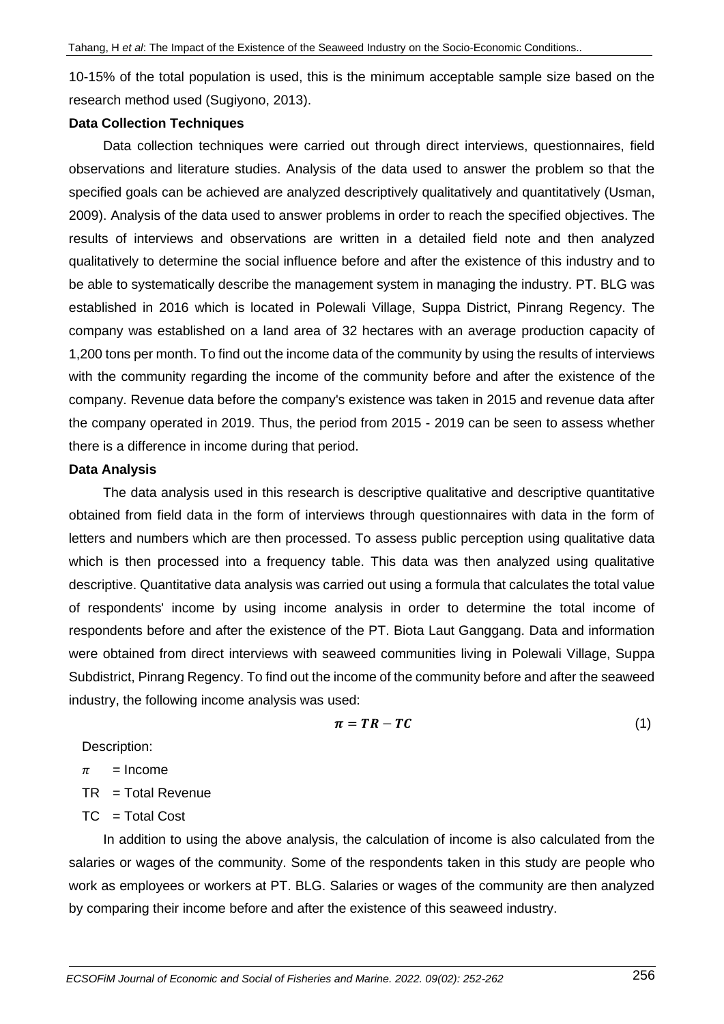10-15% of the total population is used, this is the minimum acceptable sample size based on the research method used (Sugiyono, 2013).

#### **Data Collection Techniques**

Data collection techniques were carried out through direct interviews, questionnaires, field observations and literature studies. Analysis of the data used to answer the problem so that the specified goals can be achieved are analyzed descriptively qualitatively and quantitatively (Usman, 2009). Analysis of the data used to answer problems in order to reach the specified objectives. The results of interviews and observations are written in a detailed field note and then analyzed qualitatively to determine the social influence before and after the existence of this industry and to be able to systematically describe the management system in managing the industry. PT. BLG was established in 2016 which is located in Polewali Village, Suppa District, Pinrang Regency. The company was established on a land area of 32 hectares with an average production capacity of 1,200 tons per month. To find out the income data of the community by using the results of interviews with the community regarding the income of the community before and after the existence of the company. Revenue data before the company's existence was taken in 2015 and revenue data after the company operated in 2019. Thus, the period from 2015 - 2019 can be seen to assess whether there is a difference in income during that period.

#### **Data Analysis**

The data analysis used in this research is descriptive qualitative and descriptive quantitative obtained from field data in the form of interviews through questionnaires with data in the form of letters and numbers which are then processed. To assess public perception using qualitative data which is then processed into a frequency table. This data was then analyzed using qualitative descriptive. Quantitative data analysis was carried out using a formula that calculates the total value of respondents' income by using income analysis in order to determine the total income of respondents before and after the existence of the PT. Biota Laut Ganggang. Data and information were obtained from direct interviews with seaweed communities living in Polewali Village, Suppa Subdistrict, Pinrang Regency. To find out the income of the community before and after the seaweed industry, the following income analysis was used:

$$
\boldsymbol{\pi} = \boldsymbol{T} \boldsymbol{R} - \boldsymbol{T} \boldsymbol{C} \tag{1}
$$

Description:

$$
\pi = \text{Income}
$$

TR = Total Revenue

 $TC = Total Cost$ 

In addition to using the above analysis, the calculation of income is also calculated from the salaries or wages of the community. Some of the respondents taken in this study are people who work as employees or workers at PT. BLG. Salaries or wages of the community are then analyzed by comparing their income before and after the existence of this seaweed industry.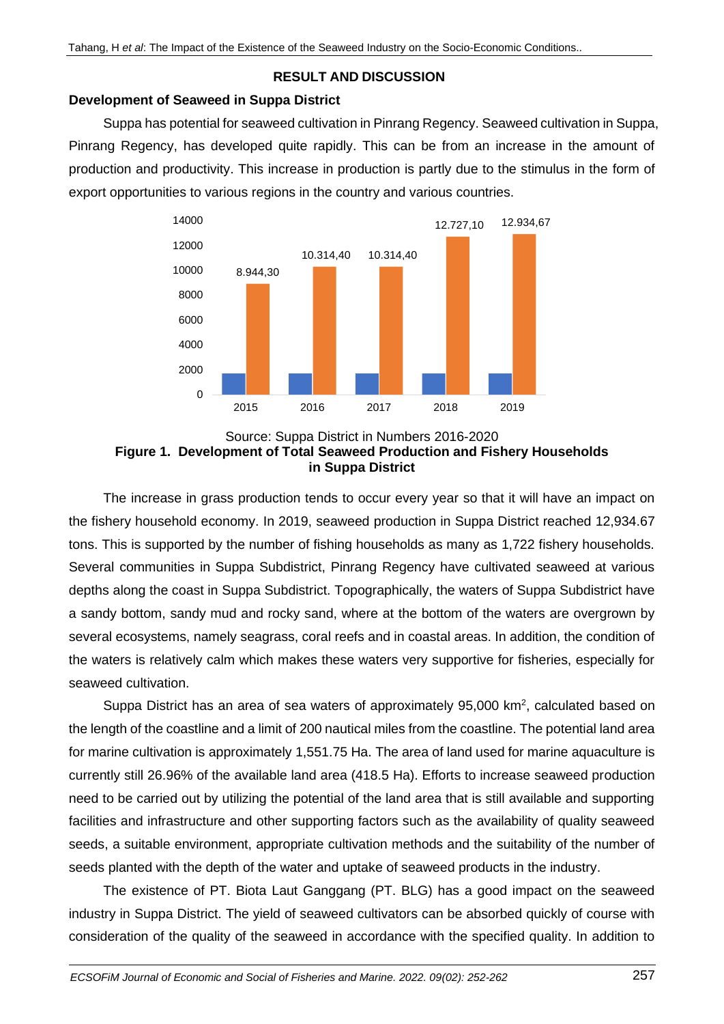# **RESULT AND DISCUSSION**

# **Development of Seaweed in Suppa District**

Suppa has potential for seaweed cultivation in Pinrang Regency. Seaweed cultivation in Suppa, Pinrang Regency, has developed quite rapidly. This can be from an increase in the amount of production and productivity. This increase in production is partly due to the stimulus in the form of export opportunities to various regions in the country and various countries.



#### Source: Suppa District in Numbers 2016-2020 **Figure 1. Development of Total Seaweed Production and Fishery Households in Suppa District**

The increase in grass production tends to occur every year so that it will have an impact on the fishery household economy. In 2019, seaweed production in Suppa District reached 12,934.67 tons. This is supported by the number of fishing households as many as 1,722 fishery households. Several communities in Suppa Subdistrict, Pinrang Regency have cultivated seaweed at various depths along the coast in Suppa Subdistrict. Topographically, the waters of Suppa Subdistrict have a sandy bottom, sandy mud and rocky sand, where at the bottom of the waters are overgrown by several ecosystems, namely seagrass, coral reefs and in coastal areas. In addition, the condition of the waters is relatively calm which makes these waters very supportive for fisheries, especially for seaweed cultivation.

Suppa District has an area of sea waters of approximately  $95,000$  km<sup>2</sup>, calculated based on the length of the coastline and a limit of 200 nautical miles from the coastline. The potential land area for marine cultivation is approximately 1,551.75 Ha. The area of land used for marine aquaculture is currently still 26.96% of the available land area (418.5 Ha). Efforts to increase seaweed production need to be carried out by utilizing the potential of the land area that is still available and supporting facilities and infrastructure and other supporting factors such as the availability of quality seaweed seeds, a suitable environment, appropriate cultivation methods and the suitability of the number of seeds planted with the depth of the water and uptake of seaweed products in the industry.

The existence of PT. Biota Laut Ganggang (PT. BLG) has a good impact on the seaweed industry in Suppa District. The yield of seaweed cultivators can be absorbed quickly of course with consideration of the quality of the seaweed in accordance with the specified quality. In addition to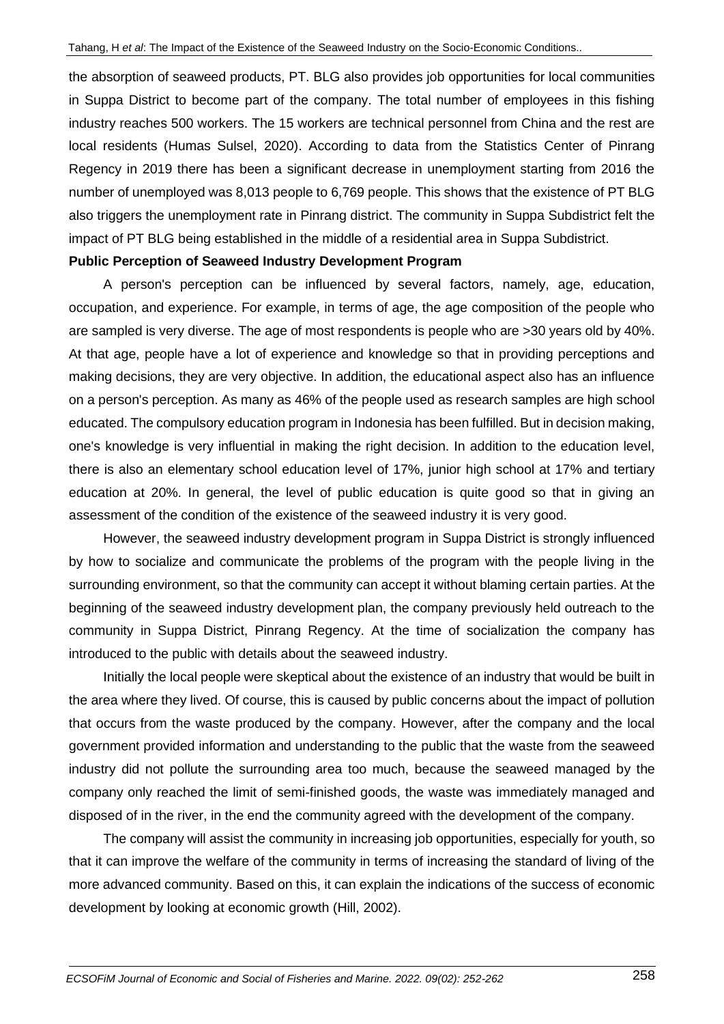the absorption of seaweed products, PT. BLG also provides job opportunities for local communities in Suppa District to become part of the company. The total number of employees in this fishing industry reaches 500 workers. The 15 workers are technical personnel from China and the rest are local residents (Humas Sulsel, 2020). According to data from the Statistics Center of Pinrang Regency in 2019 there has been a significant decrease in unemployment starting from 2016 the number of unemployed was 8,013 people to 6,769 people. This shows that the existence of PT BLG also triggers the unemployment rate in Pinrang district. The community in Suppa Subdistrict felt the impact of PT BLG being established in the middle of a residential area in Suppa Subdistrict.

### **Public Perception of Seaweed Industry Development Program**

A person's perception can be influenced by several factors, namely, age, education, occupation, and experience. For example, in terms of age, the age composition of the people who are sampled is very diverse. The age of most respondents is people who are >30 years old by 40%. At that age, people have a lot of experience and knowledge so that in providing perceptions and making decisions, they are very objective. In addition, the educational aspect also has an influence on a person's perception. As many as 46% of the people used as research samples are high school educated. The compulsory education program in Indonesia has been fulfilled. But in decision making, one's knowledge is very influential in making the right decision. In addition to the education level, there is also an elementary school education level of 17%, junior high school at 17% and tertiary education at 20%. In general, the level of public education is quite good so that in giving an assessment of the condition of the existence of the seaweed industry it is very good.

However, the seaweed industry development program in Suppa District is strongly influenced by how to socialize and communicate the problems of the program with the people living in the surrounding environment, so that the community can accept it without blaming certain parties. At the beginning of the seaweed industry development plan, the company previously held outreach to the community in Suppa District, Pinrang Regency. At the time of socialization the company has introduced to the public with details about the seaweed industry.

Initially the local people were skeptical about the existence of an industry that would be built in the area where they lived. Of course, this is caused by public concerns about the impact of pollution that occurs from the waste produced by the company. However, after the company and the local government provided information and understanding to the public that the waste from the seaweed industry did not pollute the surrounding area too much, because the seaweed managed by the company only reached the limit of semi-finished goods, the waste was immediately managed and disposed of in the river, in the end the community agreed with the development of the company.

The company will assist the community in increasing job opportunities, especially for youth, so that it can improve the welfare of the community in terms of increasing the standard of living of the more advanced community. Based on this, it can explain the indications of the success of economic development by looking at economic growth (Hill, 2002).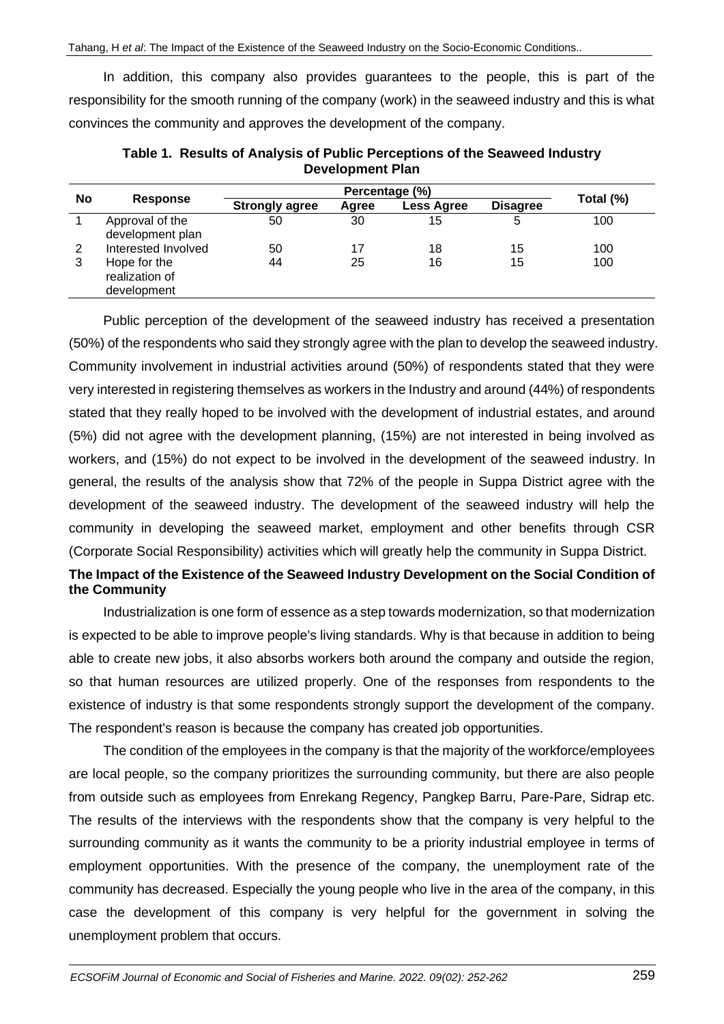In addition, this company also provides guarantees to the people, this is part of the responsibility for the smooth running of the company (work) in the seaweed industry and this is what convinces the community and approves the development of the company.

| No | <b>Response</b>                               | Percentage (%)        |       |                   |                 |           |
|----|-----------------------------------------------|-----------------------|-------|-------------------|-----------------|-----------|
|    |                                               | <b>Strongly agree</b> | Agree | <b>Less Agree</b> | <b>Disagree</b> | Total (%) |
|    | Approval of the<br>development plan           | 50                    | 30    | 15                | 5               | 100       |
| 2  | Interested Involved                           | 50                    | 17    | 18                | 15              | 100       |
| 3  | Hope for the<br>realization of<br>development | 44                    | 25    | 16                | 15              | 100       |

**Table 1. Results of Analysis of Public Perceptions of the Seaweed Industry Development Plan**

Public perception of the development of the seaweed industry has received a presentation (50%) of the respondents who said they strongly agree with the plan to develop the seaweed industry. Community involvement in industrial activities around (50%) of respondents stated that they were very interested in registering themselves as workers in the Industry and around (44%) of respondents stated that they really hoped to be involved with the development of industrial estates, and around (5%) did not agree with the development planning, (15%) are not interested in being involved as workers, and (15%) do not expect to be involved in the development of the seaweed industry. In general, the results of the analysis show that 72% of the people in Suppa District agree with the development of the seaweed industry. The development of the seaweed industry will help the community in developing the seaweed market, employment and other benefits through CSR (Corporate Social Responsibility) activities which will greatly help the community in Suppa District.

# **The Impact of the Existence of the Seaweed Industry Development on the Social Condition of the Community**

Industrialization is one form of essence as a step towards modernization, so that modernization is expected to be able to improve people's living standards. Why is that because in addition to being able to create new jobs, it also absorbs workers both around the company and outside the region, so that human resources are utilized properly. One of the responses from respondents to the existence of industry is that some respondents strongly support the development of the company. The respondent's reason is because the company has created job opportunities.

The condition of the employees in the company is that the majority of the workforce/employees are local people, so the company prioritizes the surrounding community, but there are also people from outside such as employees from Enrekang Regency, Pangkep Barru, Pare-Pare, Sidrap etc. The results of the interviews with the respondents show that the company is very helpful to the surrounding community as it wants the community to be a priority industrial employee in terms of employment opportunities. With the presence of the company, the unemployment rate of the community has decreased. Especially the young people who live in the area of the company, in this case the development of this company is very helpful for the government in solving the unemployment problem that occurs.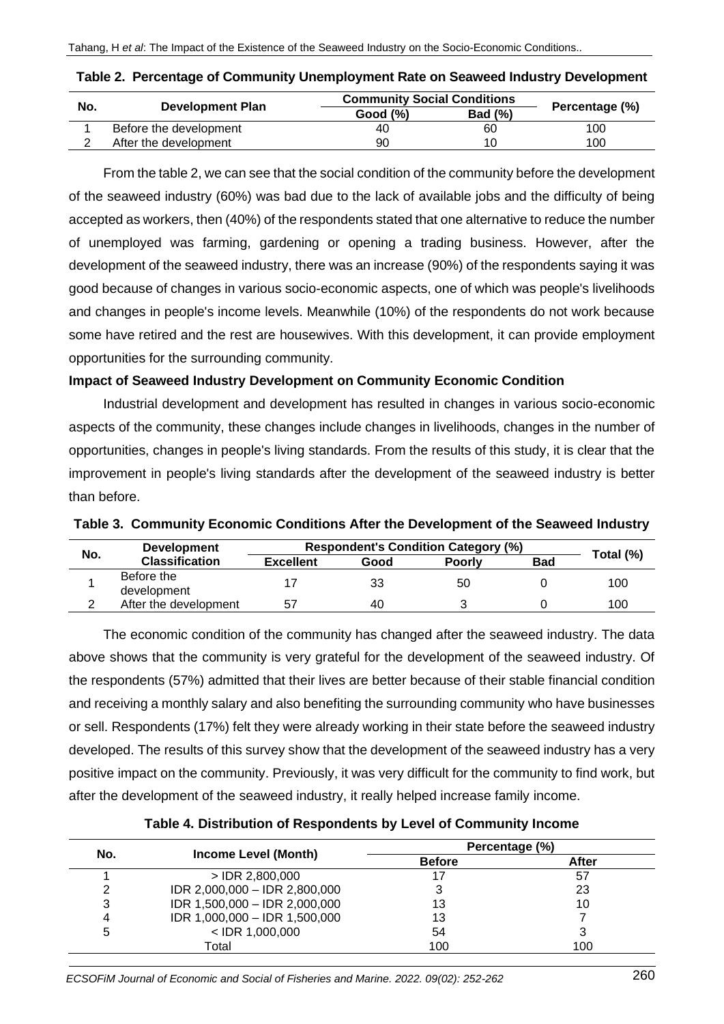| No. |                         | <b>Community Social Conditions</b> |                |                |
|-----|-------------------------|------------------------------------|----------------|----------------|
|     | <b>Development Plan</b> | Good $(\%)$                        | <b>Bad (%)</b> | Percentage (%) |
|     | Before the development  | 40                                 | 60             | 100            |
|     | After the development   | 90                                 | 10             | 100            |

From the table 2, we can see that the social condition of the community before the development of the seaweed industry (60%) was bad due to the lack of available jobs and the difficulty of being accepted as workers, then (40%) of the respondents stated that one alternative to reduce the number of unemployed was farming, gardening or opening a trading business. However, after the development of the seaweed industry, there was an increase (90%) of the respondents saying it was good because of changes in various socio-economic aspects, one of which was people's livelihoods and changes in people's income levels. Meanwhile (10%) of the respondents do not work because some have retired and the rest are housewives. With this development, it can provide employment opportunities for the surrounding community.

# **Impact of Seaweed Industry Development on Community Economic Condition**

Industrial development and development has resulted in changes in various socio-economic aspects of the community, these changes include changes in livelihoods, changes in the number of opportunities, changes in people's living standards. From the results of this study, it is clear that the improvement in people's living standards after the development of the seaweed industry is better than before.

| No. | <b>Development</b>        | <b>Respondent's Condition Category (%)</b> |      |               |            |           |
|-----|---------------------------|--------------------------------------------|------|---------------|------------|-----------|
|     | <b>Classification</b>     | <b>Excellent</b>                           | Good | <b>Poorly</b> | <b>Bad</b> | Total (%) |
|     | Before the<br>development |                                            | 33   | 50            |            | 100       |
|     | After the development     | 57                                         | 40   |               |            | 100       |

**Table 3. Community Economic Conditions After the Development of the Seaweed Industry**

The economic condition of the community has changed after the seaweed industry. The data above shows that the community is very grateful for the development of the seaweed industry. Of the respondents (57%) admitted that their lives are better because of their stable financial condition and receiving a monthly salary and also benefiting the surrounding community who have businesses or sell. Respondents (17%) felt they were already working in their state before the seaweed industry developed. The results of this survey show that the development of the seaweed industry has a very positive impact on the community. Previously, it was very difficult for the community to find work, but after the development of the seaweed industry, it really helped increase family income.

|  |  |  |  | Table 4. Distribution of Respondents by Level of Community Income |
|--|--|--|--|-------------------------------------------------------------------|
|--|--|--|--|-------------------------------------------------------------------|

|     |                               | Percentage (%) |       |  |  |
|-----|-------------------------------|----------------|-------|--|--|
| No. | <b>Income Level (Month)</b>   | <b>Before</b>  | After |  |  |
|     | $>$ IDR 2,800,000             |                | 57    |  |  |
| 2   | IDR 2,000,000 - IDR 2,800,000 |                | 23    |  |  |
| 3   | IDR 1,500,000 - IDR 2,000,000 | 13             | 10    |  |  |
| 4   | IDR 1,000,000 - IDR 1,500,000 | 13             |       |  |  |
| 5   | $<$ IDR 1,000,000             | 54             | 3     |  |  |
|     | Total                         | 100            | 100   |  |  |

*ECSOFiM Journal of Economic and Social of Fisheries and Marine. 2022. 09(02): 252-262* 260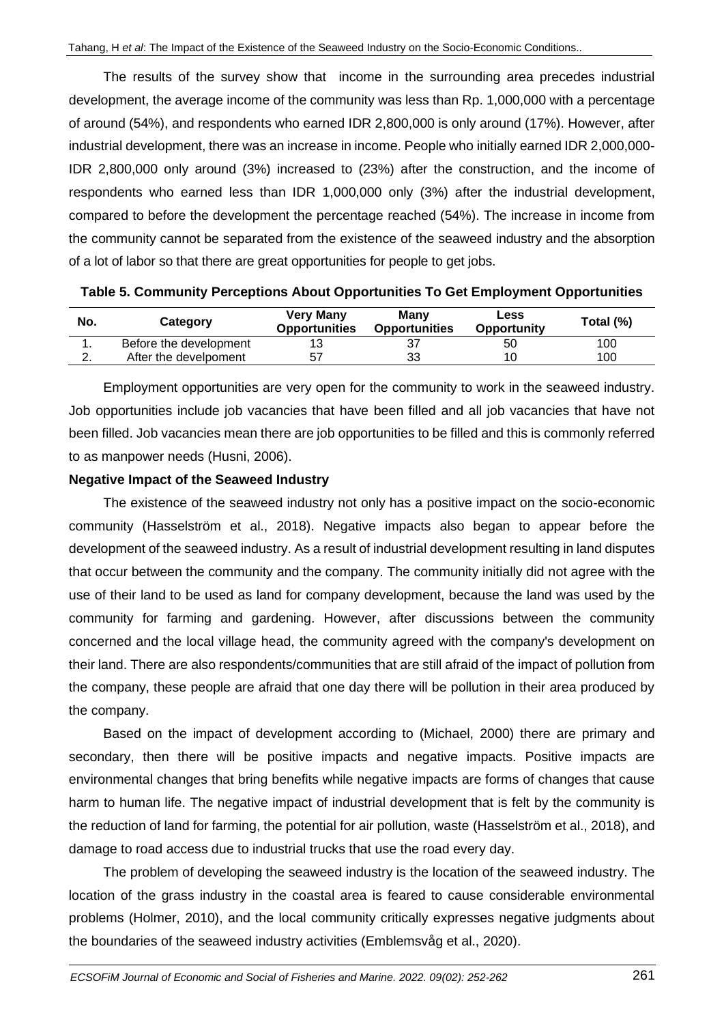The results of the survey show that income in the surrounding area precedes industrial development, the average income of the community was less than Rp. 1,000,000 with a percentage of around (54%), and respondents who earned IDR 2,800,000 is only around (17%). However, after industrial development, there was an increase in income. People who initially earned IDR 2,000,000- IDR 2,800,000 only around (3%) increased to (23%) after the construction, and the income of respondents who earned less than IDR 1,000,000 only (3%) after the industrial development, compared to before the development the percentage reached (54%). The increase in income from the community cannot be separated from the existence of the seaweed industry and the absorption of a lot of labor so that there are great opportunities for people to get jobs.

| No. | Category               | <b>Very Many</b><br><b>Opportunities</b> | Many<br><b>Opportunities</b> | Less<br><b>Opportunity</b> | Total (%) |
|-----|------------------------|------------------------------------------|------------------------------|----------------------------|-----------|
| . . | Before the development |                                          |                              | 50                         | 100       |
|     | After the develpoment  |                                          | 33                           | 10                         | 100       |

**Table 5. Community Perceptions About Opportunities To Get Employment Opportunities**

Employment opportunities are very open for the community to work in the seaweed industry. Job opportunities include job vacancies that have been filled and all job vacancies that have not been filled. Job vacancies mean there are job opportunities to be filled and this is commonly referred to as manpower needs (Husni, 2006).

### **Negative Impact of the Seaweed Industry**

The existence of the seaweed industry not only has a positive impact on the socio-economic community (Hasselström et al., 2018). Negative impacts also began to appear before the development of the seaweed industry. As a result of industrial development resulting in land disputes that occur between the community and the company. The community initially did not agree with the use of their land to be used as land for company development, because the land was used by the community for farming and gardening. However, after discussions between the community concerned and the local village head, the community agreed with the company's development on their land. There are also respondents/communities that are still afraid of the impact of pollution from the company, these people are afraid that one day there will be pollution in their area produced by the company.

Based on the impact of development according to (Michael, 2000) there are primary and secondary, then there will be positive impacts and negative impacts. Positive impacts are environmental changes that bring benefits while negative impacts are forms of changes that cause harm to human life. The negative impact of industrial development that is felt by the community is the reduction of land for farming, the potential for air pollution, waste (Hasselström et al., 2018), and damage to road access due to industrial trucks that use the road every day.

The problem of developing the seaweed industry is the location of the seaweed industry. The location of the grass industry in the coastal area is feared to cause considerable environmental problems (Holmer, 2010), and the local community critically expresses negative judgments about the boundaries of the seaweed industry activities (Emblemsvåg et al., 2020).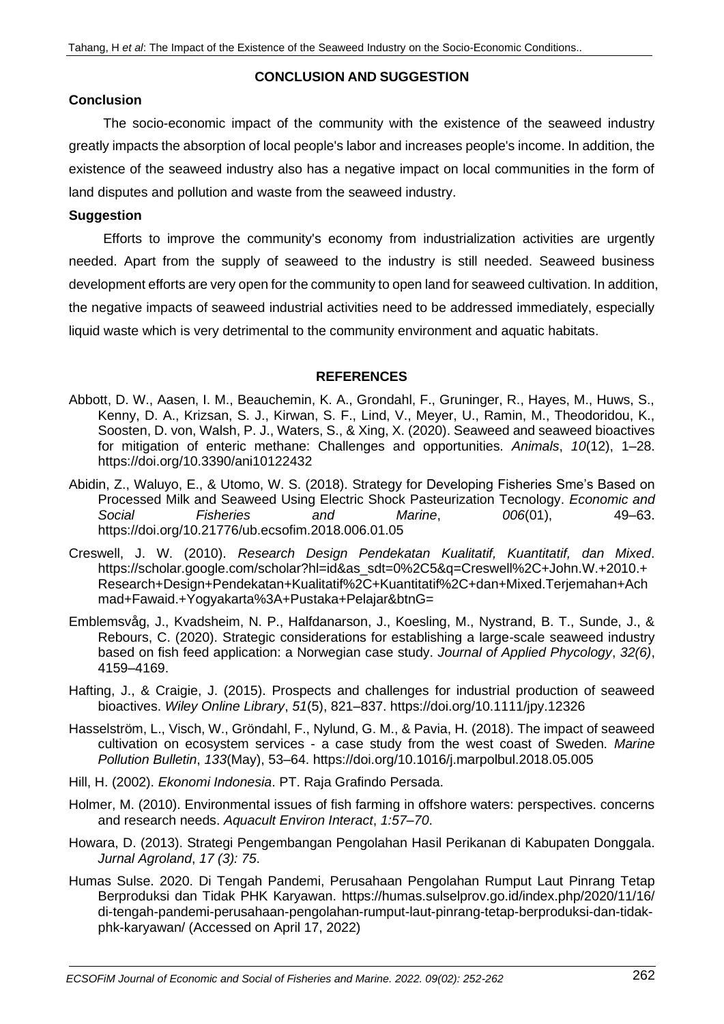# **CONCLUSION AND SUGGESTION**

# **Conclusion**

The socio-economic impact of the community with the existence of the seaweed industry greatly impacts the absorption of local people's labor and increases people's income. In addition, the existence of the seaweed industry also has a negative impact on local communities in the form of land disputes and pollution and waste from the seaweed industry.

# **Suggestion**

Efforts to improve the community's economy from industrialization activities are urgently needed. Apart from the supply of seaweed to the industry is still needed. Seaweed business development efforts are very open for the community to open land for seaweed cultivation. In addition, the negative impacts of seaweed industrial activities need to be addressed immediately, especially liquid waste which is very detrimental to the community environment and aquatic habitats.

### **REFERENCES**

- Abbott, D. W., Aasen, I. M., Beauchemin, K. A., Grondahl, F., Gruninger, R., Hayes, M., Huws, S., Kenny, D. A., Krizsan, S. J., Kirwan, S. F., Lind, V., Meyer, U., Ramin, M., Theodoridou, K., Soosten, D. von, Walsh, P. J., Waters, S., & Xing, X. (2020). Seaweed and seaweed bioactives for mitigation of enteric methane: Challenges and opportunities. *Animals*, *10*(12), 1–28. https://doi.org/10.3390/ani10122432
- Abidin, Z., Waluyo, E., & Utomo, W. S. (2018). Strategy for Developing Fisheries Sme's Based on Processed Milk and Seaweed Using Electric Shock Pasteurization Tecnology. *Economic and Social Fisheries and Marine*, *006*(01), 49–63. https://doi.org/10.21776/ub.ecsofim.2018.006.01.05
- Creswell, J. W. (2010). *Research Design Pendekatan Kualitatif, Kuantitatif, dan Mixed*. https://scholar.google.com/scholar?hl=id&as\_sdt=0%2C5&q=Creswell%2C+John.W.+2010.+ Research+Design+Pendekatan+Kualitatif%2C+Kuantitatif%2C+dan+Mixed.Terjemahan+Ach mad+Fawaid.+Yogyakarta%3A+Pustaka+Pelajar&btnG=
- Emblemsvåg, J., Kvadsheim, N. P., Halfdanarson, J., Koesling, M., Nystrand, B. T., Sunde, J., & Rebours, C. (2020). Strategic considerations for establishing a large-scale seaweed industry based on fish feed application: a Norwegian case study. *Journal of Applied Phycology*, *32(6)*, 4159–4169.
- Hafting, J., & Craigie, J. (2015). Prospects and challenges for industrial production of seaweed bioactives. *Wiley Online Library*, *51*(5), 821–837. https://doi.org/10.1111/jpy.12326
- Hasselström, L., Visch, W., Gröndahl, F., Nylund, G. M., & Pavia, H. (2018). The impact of seaweed cultivation on ecosystem services - a case study from the west coast of Sweden. *Marine Pollution Bulletin*, *133*(May), 53–64. https://doi.org/10.1016/j.marpolbul.2018.05.005
- Hill, H. (2002). *Ekonomi Indonesia*. PT. Raja Grafindo Persada.
- Holmer, M. (2010). Environmental issues of fish farming in offshore waters: perspectives. concerns and research needs. *Aquacult Environ Interact*, *1:57*–*70*.
- Howara, D. (2013). Strategi Pengembangan Pengolahan Hasil Perikanan di Kabupaten Donggala. *Jurnal Agroland*, *17 (3): 75*.
- Humas Sulse. 2020. Di Tengah Pandemi, Perusahaan Pengolahan Rumput Laut Pinrang Tetap Berproduksi dan Tidak PHK Karyawan. https://humas.sulselprov.go.id/index.php/2020/11/16/ di-tengah-pandemi-perusahaan-pengolahan-rumput-laut-pinrang-tetap-berproduksi-dan-tidakphk-karyawan/ (Accessed on April 17, 2022)